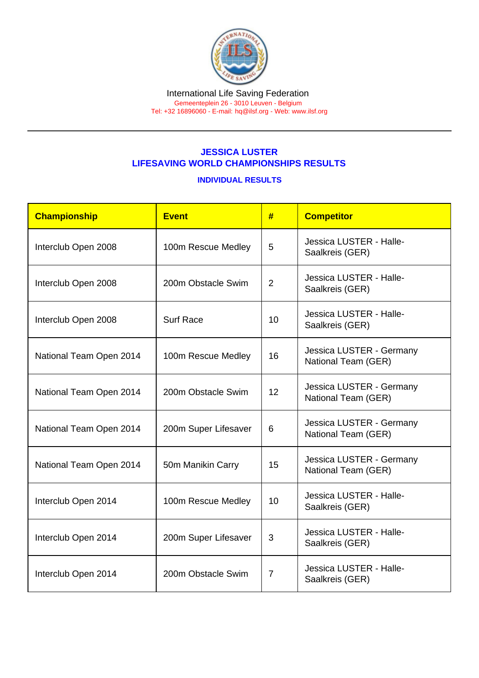## JESSICA LUSTER LIFESAVING WORLD CHAMPIONSHIPS RESULTS

INDIVIDUAL RESULTS

| Championship            | <b>Event</b>         | #               | <b>Competitor</b>                               |
|-------------------------|----------------------|-----------------|-------------------------------------------------|
| Interclub Open 2008     | 100m Rescue Medley   | 5               | Jessica LUSTER - Halle-<br>Saalkreis (GER)      |
| Interclub Open 2008     | 200m Obstacle Swim   | $\overline{2}$  | Jessica LUSTER - Halle-<br>Saalkreis (GER)      |
| Interclub Open 2008     | <b>Surf Race</b>     | 10 <sup>1</sup> | Jessica LUSTER - Halle-<br>Saalkreis (GER)      |
| National Team Open 2014 | 100m Rescue Medley   | 16              | Jessica LUSTER - Germany<br>National Team (GER) |
| National Team Open 2014 | 200m Obstacle Swim   | 12              | Jessica LUSTER - Germany<br>National Team (GER) |
| National Team Open 2014 | 200m Super Lifesaver | 6               | Jessica LUSTER - Germany<br>National Team (GER) |
| National Team Open 2014 | 50m Manikin Carry    | 15              | Jessica LUSTER - Germany<br>National Team (GER) |
| Interclub Open 2014     | 100m Rescue Medley   | 10 <sup>1</sup> | Jessica LUSTER - Halle-<br>Saalkreis (GER)      |
| Interclub Open 2014     | 200m Super Lifesaver | 3               | Jessica LUSTER - Halle-<br>Saalkreis (GER)      |
| Interclub Open 2014     | 200m Obstacle Swim   | 7               | Jessica LUSTER - Halle-<br>Saalkreis (GER)      |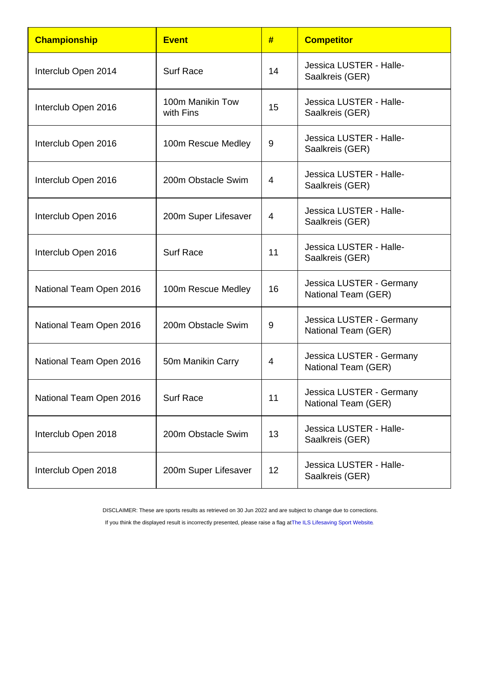| Championship            | <b>Event</b>                  | #  | <b>Competitor</b>                               |
|-------------------------|-------------------------------|----|-------------------------------------------------|
| Interclub Open 2014     | <b>Surf Race</b>              | 14 | Jessica LUSTER - Halle-<br>Saalkreis (GER)      |
| Interclub Open 2016     | 100m Manikin Tow<br>with Fins | 15 | Jessica LUSTER - Halle-<br>Saalkreis (GER)      |
| Interclub Open 2016     | 100m Rescue Medley            | 9  | Jessica LUSTER - Halle-<br>Saalkreis (GER)      |
| Interclub Open 2016     | 200m Obstacle Swim            | 4  | Jessica LUSTER - Halle-<br>Saalkreis (GER)      |
| Interclub Open 2016     | 200m Super Lifesaver          | 4  | Jessica LUSTER - Halle-<br>Saalkreis (GER)      |
| Interclub Open 2016     | <b>Surf Race</b>              | 11 | Jessica LUSTER - Halle-<br>Saalkreis (GER)      |
| National Team Open 2016 | 100m Rescue Medley            | 16 | Jessica LUSTER - Germany<br>National Team (GER) |
| National Team Open 2016 | 200m Obstacle Swim            | 9  | Jessica LUSTER - Germany<br>National Team (GER) |
| National Team Open 2016 | 50m Manikin Carry             | 4  | Jessica LUSTER - Germany<br>National Team (GER) |
| National Team Open 2016 | <b>Surf Race</b>              | 11 | Jessica LUSTER - Germany<br>National Team (GER) |
| Interclub Open 2018     | 200m Obstacle Swim            | 13 | Jessica LUSTER - Halle-<br>Saalkreis (GER)      |
| Interclub Open 2018     | 200m Super Lifesaver          | 12 | Jessica LUSTER - Halle-<br>Saalkreis (GER)      |

DISCLAIMER: These are sports results as retrieved on 30 Jun 2022 and are subject to change due to corrections.

If you think the displayed result is incorrectly presented, please raise a flag at [The ILS Lifesaving Sport Website.](https://sport.ilsf.org)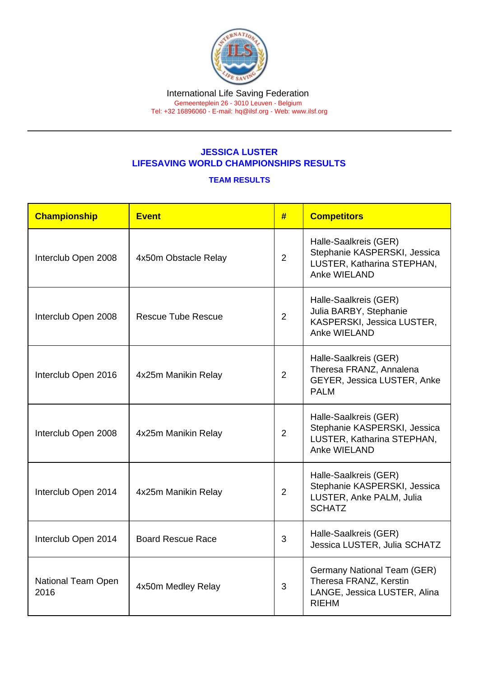## JESSICA LUSTER LIFESAVING WORLD CHAMPIONSHIPS RESULTS

## TEAM RESULTS

| Championship               | Event                     | #              | <b>Competitors</b>                                                                                    |
|----------------------------|---------------------------|----------------|-------------------------------------------------------------------------------------------------------|
| Interclub Open 2008        | 4x50m Obstacle Relay      | $\overline{2}$ | Halle-Saalkreis (GER)<br>Stephanie KASPERSKI, Jessica<br>LUSTER, Katharina STEPHAN,<br>Anke WIELAND   |
| Interclub Open 2008        | <b>Rescue Tube Rescue</b> | $\overline{2}$ | Halle-Saalkreis (GER)<br>Julia BARBY, Stephanie<br>KASPERSKI, Jessica LUSTER,<br>Anke WIELAND         |
| Interclub Open 2016        | 4x25m Manikin Relay       | $\overline{2}$ | Halle-Saalkreis (GER)<br>Theresa FRANZ, Annalena<br>GEYER, Jessica LUSTER, Anke<br><b>PALM</b>        |
| Interclub Open 2008        | 4x25m Manikin Relay       | $\overline{2}$ | Halle-Saalkreis (GER)<br>Stephanie KASPERSKI, Jessica<br>LUSTER, Katharina STEPHAN,<br>Anke WIELAND   |
| Interclub Open 2014        | 4x25m Manikin Relay       | $\overline{2}$ | Halle-Saalkreis (GER)<br>Stephanie KASPERSKI, Jessica<br>LUSTER, Anke PALM, Julia<br><b>SCHATZ</b>    |
| Interclub Open 2014        | <b>Board Rescue Race</b>  | 3              | Halle-Saalkreis (GER)<br>Jessica LUSTER, Julia SCHATZ                                                 |
| National Team Open<br>2016 | 4x50m Medley Relay        | 3              | Germany National Team (GER)<br>Theresa FRANZ, Kerstin<br>LANGE, Jessica LUSTER, Alina<br><b>RIEHM</b> |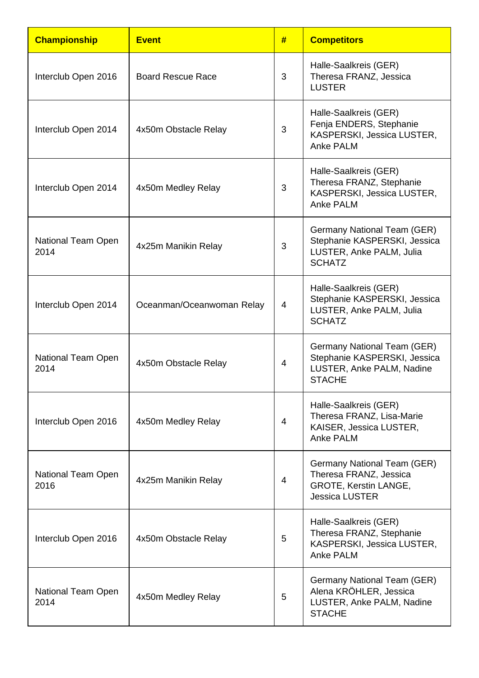| <b>Championship</b>        | <b>Event</b>              | #                        | <b>Competitors</b>                                                                                               |
|----------------------------|---------------------------|--------------------------|------------------------------------------------------------------------------------------------------------------|
| Interclub Open 2016        | <b>Board Rescue Race</b>  | 3                        | Halle-Saalkreis (GER)<br>Theresa FRANZ, Jessica<br><b>LUSTER</b>                                                 |
| Interclub Open 2014        | 4x50m Obstacle Relay      | 3                        | Halle-Saalkreis (GER)<br>Fenja ENDERS, Stephanie<br>KASPERSKI, Jessica LUSTER,<br><b>Anke PALM</b>               |
| Interclub Open 2014        | 4x50m Medley Relay        | 3                        | Halle-Saalkreis (GER)<br>Theresa FRANZ, Stephanie<br>KASPERSKI, Jessica LUSTER,<br><b>Anke PALM</b>              |
| National Team Open<br>2014 | 4x25m Manikin Relay       | 3                        | Germany National Team (GER)<br>Stephanie KASPERSKI, Jessica<br>LUSTER, Anke PALM, Julia<br><b>SCHATZ</b>         |
| Interclub Open 2014        | Oceanman/Oceanwoman Relay | $\overline{\mathcal{A}}$ | Halle-Saalkreis (GER)<br>Stephanie KASPERSKI, Jessica<br>LUSTER, Anke PALM, Julia<br><b>SCHATZ</b>               |
| National Team Open<br>2014 | 4x50m Obstacle Relay      | $\overline{4}$           | <b>Germany National Team (GER)</b><br>Stephanie KASPERSKI, Jessica<br>LUSTER, Anke PALM, Nadine<br><b>STACHE</b> |
| Interclub Open 2016        | 4x50m Medley Relay        | $\overline{4}$           | Halle-Saalkreis (GER)<br>Theresa FRANZ, Lisa-Marie<br>KAISER, Jessica LUSTER,<br>Anke PALM                       |
| National Team Open<br>2016 | 4x25m Manikin Relay       | $\overline{\mathcal{A}}$ | Germany National Team (GER)<br>Theresa FRANZ, Jessica<br>GROTE, Kerstin LANGE,<br><b>Jessica LUSTER</b>          |
| Interclub Open 2016        | 4x50m Obstacle Relay      | 5                        | Halle-Saalkreis (GER)<br>Theresa FRANZ, Stephanie<br>KASPERSKI, Jessica LUSTER,<br>Anke PALM                     |
| National Team Open<br>2014 | 4x50m Medley Relay        | 5                        | Germany National Team (GER)<br>Alena KRÖHLER, Jessica<br>LUSTER, Anke PALM, Nadine<br><b>STACHE</b>              |